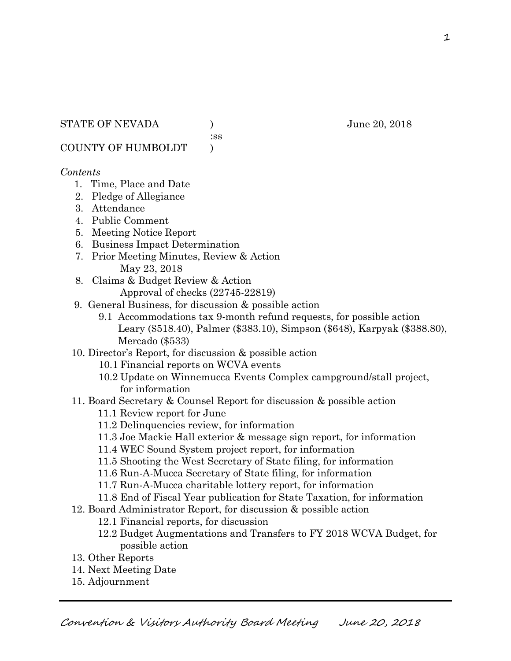:ss

COUNTY OF HUMBOLDT )

### *Contents*

- 1. Time, Place and Date
- 2. Pledge of Allegiance
- 3. Attendance
- 4. Public Comment
- 5. Meeting Notice Report
- 6. Business Impact Determination
- 7. Prior Meeting Minutes, Review & Action May 23, 2018
- 8. Claims & Budget Review & Action
	- Approval of checks (22745-22819)
- 9. General Business, for discussion & possible action
	- 9.1 Accommodations tax 9-month refund requests, for possible action Leary (\$518.40), Palmer (\$383.10), Simpson (\$648), Karpyak (\$388.80), Mercado (\$533)
- 10. Director's Report, for discussion & possible action
	- 10.1 Financial reports on WCVA events
	- 10.2 Update on Winnemucca Events Complex campground/stall project, for information
- 11. Board Secretary & Counsel Report for discussion & possible action
	- 11.1 Review report for June
	- 11.2 Delinquencies review, for information
	- 11.3 Joe Mackie Hall exterior & message sign report, for information
	- 11.4 WEC Sound System project report, for information
	- 11.5 Shooting the West Secretary of State filing, for information
	- 11.6 Run-A-Mucca Secretary of State filing, for information
	- 11.7 Run-A-Mucca charitable lottery report, for information
	- 11.8 End of Fiscal Year publication for State Taxation, for information
- 12. Board Administrator Report, for discussion & possible action
	- 12.1 Financial reports, for discussion
	- 12.2 Budget Augmentations and Transfers to FY 2018 WCVA Budget, for possible action
- 13. Other Reports
- 14. Next Meeting Date
- 15. Adjournment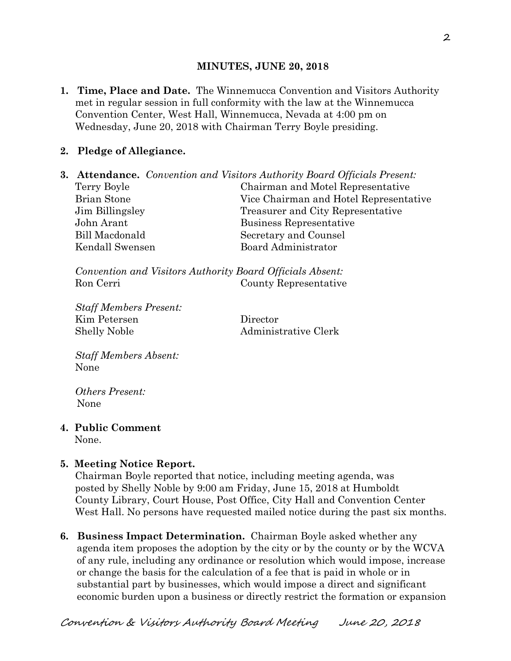### **MINUTES, JUNE 20, 2018**

**1. Time, Place and Date.** The Winnemucca Convention and Visitors Authority met in regular session in full conformity with the law at the Winnemucca Convention Center, West Hall, Winnemucca, Nevada at 4:00 pm on Wednesday, June 20, 2018 with Chairman Terry Boyle presiding.

## **2. Pledge of Allegiance.**

**3. Attendance.** *Convention and Visitors Authority Board Officials Present:*  Terry Boyle Chairman and Motel Representative Brian Stone Vice Chairman and Hotel Representative Jim Billingsley Treasurer and City Representative John Arant Business Representative Bill Macdonald Secretary and Counsel Kendall Swensen Board Administrator

*Convention and Visitors Authority Board Officials Absent:*  Ron Cerri County Representative

*Staff Members Present:*  Kim Petersen Director Shelly Noble Administrative Clerk

*Staff Members Absent:*  None

*Others Present:*  None

## **4. Public Comment**

None.

### **5. Meeting Notice Report.**

Chairman Boyle reported that notice, including meeting agenda, was posted by Shelly Noble by 9:00 am Friday, June 15, 2018 at Humboldt County Library, Court House, Post Office, City Hall and Convention Center West Hall. No persons have requested mailed notice during the past six months.

**6. Business Impact Determination.** Chairman Boyle asked whether any agenda item proposes the adoption by the city or by the county or by the WCVA of any rule, including any ordinance or resolution which would impose, increase or change the basis for the calculation of a fee that is paid in whole or in substantial part by businesses, which would impose a direct and significant economic burden upon a business or directly restrict the formation or expansion

Convention & Visitors Authority Board Meeting June 20, 2018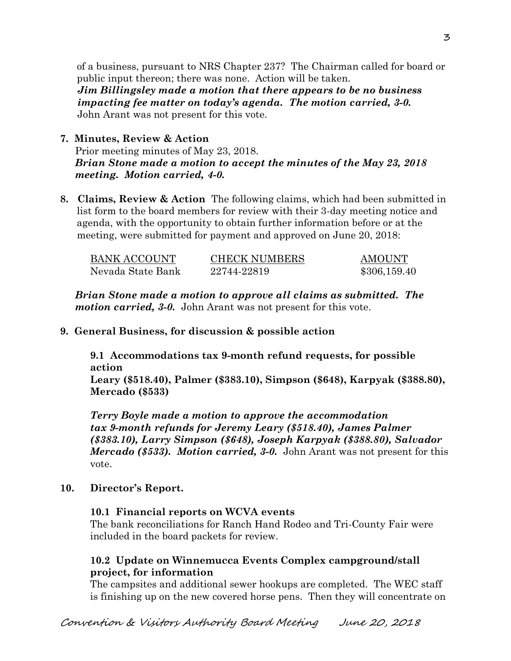of a business, pursuant to NRS Chapter 237? The Chairman called for board or public input thereon; there was none. Action will be taken.

 *Jim Billingsley made a motion that there appears to be no business impacting fee matter on today's agenda. The motion carried, 3-0.* John Arant was not present for this vote.

# **7. Minutes, Review & Action**

Prior meeting minutes of May 23, 2018. *Brian Stone made a motion to accept the minutes of the May 23, 2018 meeting. Motion carried, 4-0.* 

**8. Claims, Review & Action** The following claims, which had been submitted in list form to the board members for review with their 3-day meeting notice and agenda, with the opportunity to obtain further information before or at the meeting, were submitted for payment and approved on June 20, 2018:

| BANK ACCOUNT      | <b>CHECK NUMBERS</b> | <b>AMOUNT</b> |
|-------------------|----------------------|---------------|
| Nevada State Bank | 22744-22819          | \$306,159.40  |

*Brian Stone made a motion to approve all claims as submitted. The motion carried, 3-0.* John Arant was not present for this vote.

### **9. General Business, for discussion & possible action**

**9.1 Accommodations tax 9-month refund requests, for possible action Leary (\$518.40), Palmer (\$383.10), Simpson (\$648), Karpyak (\$388.80),** 

**Mercado (\$533)** 

*Terry Boyle made a motion to approve the accommodation tax 9-month refunds for Jeremy Leary (\$518.40), James Palmer (\$383.10), Larry Simpson (\$648), Joseph Karpyak (\$388.80), Salvador Mercado (\$533). Motion carried, 3-0.* John Arant was not present for this vote.

### **10. Director's Report.**

### **10.1 Financial reports on WCVA events**

The bank reconciliations for Ranch Hand Rodeo and Tri-County Fair were included in the board packets for review.

### **10.2 Update on Winnemucca Events Complex campground/stall project, for information**

The campsites and additional sewer hookups are completed. The WEC staff is finishing up on the new covered horse pens. Then they will concentrate on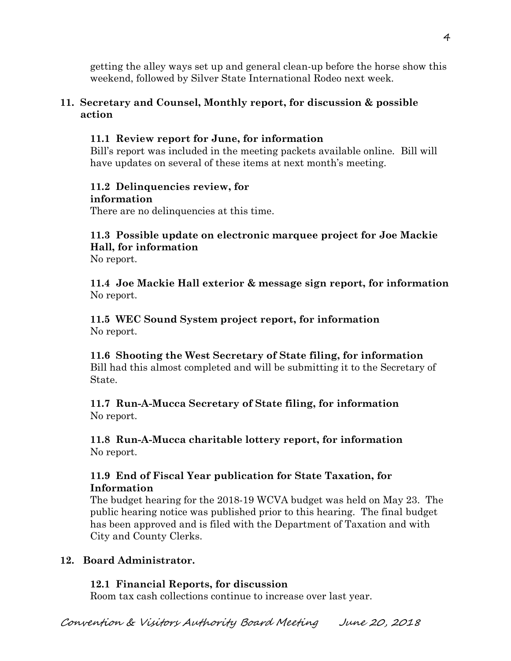getting the alley ways set up and general clean-up before the horse show this weekend, followed by Silver State International Rodeo next week.

# **11. Secretary and Counsel, Monthly report, for discussion & possible action**

## **11.1 Review report for June, for information**

Bill's report was included in the meeting packets available online. Bill will have updates on several of these items at next month's meeting.

#### **11.2 Delinquencies review, for information**

There are no delinquencies at this time.

# **11.3 Possible update on electronic marquee project for Joe Mackie Hall, for information**

No report.

**11.4 Joe Mackie Hall exterior & message sign report, for information**  No report.

**11.5 WEC Sound System project report, for information**  No report.

**11.6 Shooting the West Secretary of State filing, for information**  Bill had this almost completed and will be submitting it to the Secretary of State.

**11.7 Run-A-Mucca Secretary of State filing, for information**  No report.

**11.8 Run-A-Mucca charitable lottery report, for information**  No report.

# **11.9 End of Fiscal Year publication for State Taxation, for Information**

The budget hearing for the 2018-19 WCVA budget was held on May 23. The public hearing notice was published prior to this hearing. The final budget has been approved and is filed with the Department of Taxation and with City and County Clerks.

# **12. Board Administrator.**

# **12.1 Financial Reports, for discussion**

Room tax cash collections continue to increase over last year.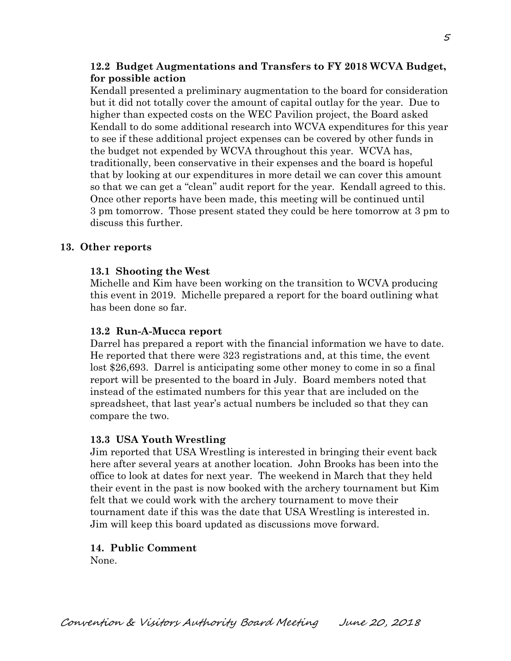### **12.2 Budget Augmentations and Transfers to FY 2018 WCVA Budget, for possible action**

Kendall presented a preliminary augmentation to the board for consideration but it did not totally cover the amount of capital outlay for the year. Due to higher than expected costs on the WEC Pavilion project, the Board asked Kendall to do some additional research into WCVA expenditures for this year to see if these additional project expenses can be covered by other funds in the budget not expended by WCVA throughout this year. WCVA has, traditionally, been conservative in their expenses and the board is hopeful that by looking at our expenditures in more detail we can cover this amount so that we can get a "clean" audit report for the year. Kendall agreed to this. Once other reports have been made, this meeting will be continued until 3 pm tomorrow. Those present stated they could be here tomorrow at 3 pm to discuss this further.

### **13. Other reports**

### **13.1 Shooting the West**

Michelle and Kim have been working on the transition to WCVA producing this event in 2019. Michelle prepared a report for the board outlining what has been done so far.

### **13.2 Run-A-Mucca report**

Darrel has prepared a report with the financial information we have to date. He reported that there were 323 registrations and, at this time, the event lost \$26,693. Darrel is anticipating some other money to come in so a final report will be presented to the board in July. Board members noted that instead of the estimated numbers for this year that are included on the spreadsheet, that last year's actual numbers be included so that they can compare the two.

### **13.3 USA Youth Wrestling**

Jim reported that USA Wrestling is interested in bringing their event back here after several years at another location. John Brooks has been into the office to look at dates for next year. The weekend in March that they held their event in the past is now booked with the archery tournament but Kim felt that we could work with the archery tournament to move their tournament date if this was the date that USA Wrestling is interested in. Jim will keep this board updated as discussions move forward.

## **14. Public Comment**

None.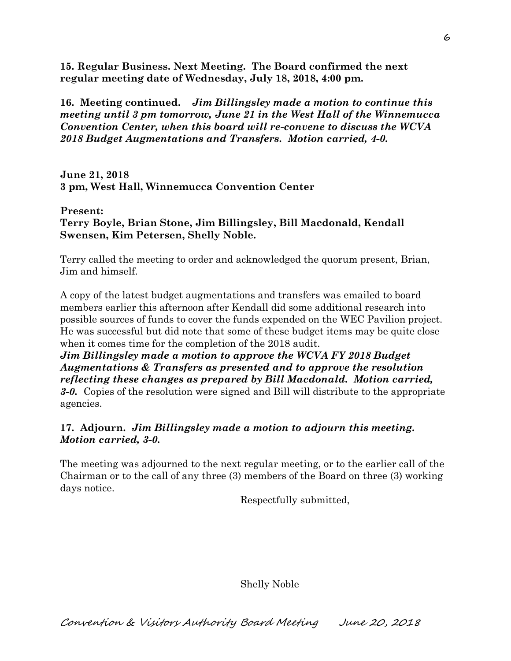**15. Regular Business. Next Meeting. The Board confirmed the next regular meeting date of Wednesday, July 18, 2018, 4:00 pm.** 

**16. Meeting continued.** *Jim Billingsley made a motion to continue this meeting until 3 pm tomorrow, June 21 in the West Hall of the Winnemucca Convention Center, when this board will re-convene to discuss the WCVA 2018 Budget Augmentations and Transfers. Motion carried, 4-0.*

**June 21, 2018 3 pm, West Hall, Winnemucca Convention Center** 

**Present: Terry Boyle, Brian Stone, Jim Billingsley, Bill Macdonald, Kendall Swensen, Kim Petersen, Shelly Noble.** 

Terry called the meeting to order and acknowledged the quorum present, Brian, Jim and himself.

A copy of the latest budget augmentations and transfers was emailed to board members earlier this afternoon after Kendall did some additional research into possible sources of funds to cover the funds expended on the WEC Pavilion project. He was successful but did note that some of these budget items may be quite close when it comes time for the completion of the 2018 audit.

*Jim Billingsley made a motion to approve the WCVA FY 2018 Budget Augmentations & Transfers as presented and to approve the resolution reflecting these changes as prepared by Bill Macdonald. Motion carried, 3-0.* Copies of the resolution were signed and Bill will distribute to the appropriate agencies.

## **17. Adjourn.** *Jim Billingsley made a motion to adjourn this meeting. Motion carried, 3-0.*

The meeting was adjourned to the next regular meeting, or to the earlier call of the Chairman or to the call of any three (3) members of the Board on three (3) working days notice.

Respectfully submitted,

Shelly Noble